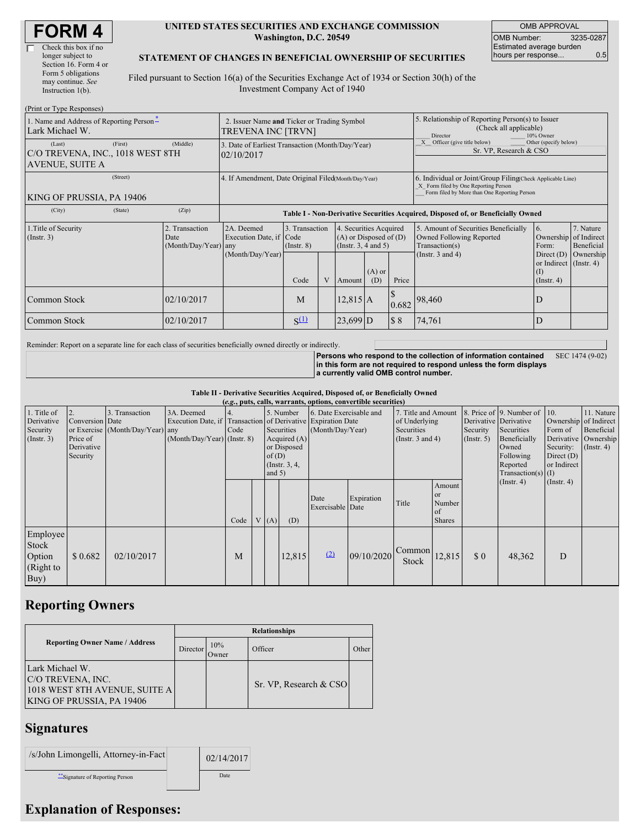| <b>FORM4</b> |
|--------------|
|--------------|

| Check this box if no  |
|-----------------------|
| longer subject to     |
| Section 16. Form 4 or |
| Form 5 obligations    |
| may continue. See     |
| Instruction 1(b).     |
|                       |

#### **UNITED STATES SECURITIES AND EXCHANGE COMMISSION Washington, D.C. 20549**

OMB APPROVAL OMB Number: 3235-0287 Estimated average burden hours per response... 0.5

#### **STATEMENT OF CHANGES IN BENEFICIAL OWNERSHIP OF SECURITIES**

Filed pursuant to Section 16(a) of the Securities Exchange Act of 1934 or Section 30(h) of the Investment Company Act of 1940

| (Print or Type Responses)                                     |                                                                   |                                                      |                                                                                  |                                    |              |                                                                                                     |                                                                                                                                                    |       |                                                                                                                            |                                                                   |                         |  |
|---------------------------------------------------------------|-------------------------------------------------------------------|------------------------------------------------------|----------------------------------------------------------------------------------|------------------------------------|--------------|-----------------------------------------------------------------------------------------------------|----------------------------------------------------------------------------------------------------------------------------------------------------|-------|----------------------------------------------------------------------------------------------------------------------------|-------------------------------------------------------------------|-------------------------|--|
| 1. Name and Address of Reporting Person-<br>Lark Michael W.   | 2. Issuer Name and Ticker or Trading Symbol<br>TREVENA INC [TRVN] |                                                      |                                                                                  |                                    |              | 5. Relationship of Reporting Person(s) to Issuer<br>(Check all applicable)<br>10% Owner<br>Director |                                                                                                                                                    |       |                                                                                                                            |                                                                   |                         |  |
| (Last)<br>C/O TREVENA, INC., 1018 WEST 8TH<br>AVENUE, SUITE A | (First)                                                           | (Middle)                                             | 3. Date of Earliest Transaction (Month/Day/Year)<br>02/10/2017                   |                                    |              |                                                                                                     |                                                                                                                                                    |       | Officer (give title below)<br>Other (specify below)<br>Sr. VP, Research & CSO                                              |                                                                   |                         |  |
| KING OF PRUSSIA, PA 19406                                     |                                                                   | 4. If Amendment, Date Original Filed(Month/Day/Year) |                                                                                  |                                    |              |                                                                                                     | 6. Individual or Joint/Group Filing(Check Applicable Line)<br>X Form filed by One Reporting Person<br>Form filed by More than One Reporting Person |       |                                                                                                                            |                                                                   |                         |  |
| (City)                                                        | (State)                                                           | (Zip)                                                | Table I - Non-Derivative Securities Acquired, Disposed of, or Beneficially Owned |                                    |              |                                                                                                     |                                                                                                                                                    |       |                                                                                                                            |                                                                   |                         |  |
| 1. Title of Security<br>$($ Instr. 3 $)$                      |                                                                   | 2. Transaction<br>Date<br>(Month/Day/Year) any       | 2A. Deemed<br>Execution Date, if Code                                            | 3. Transaction<br>$($ Instr. 8 $)$ |              | 4. Securities Acquired<br>$(A)$ or Disposed of $(D)$<br>(Instr. $3, 4$ and $5$ )                    |                                                                                                                                                    |       | 6.<br>5. Amount of Securities Beneficially<br>Owned Following Reported<br>Ownership of Indirect<br>Transaction(s)<br>Form: |                                                                   | 7. Nature<br>Beneficial |  |
|                                                               |                                                                   |                                                      | (Month/Day/Year)                                                                 | Code                               | $\mathbf{V}$ | Amount                                                                                              | $(A)$ or<br>(D)                                                                                                                                    | Price | (Instr. $3$ and $4$ )                                                                                                      | Direct $(D)$<br>or Indirect (Instr. 4)<br>(I)<br>$($ Instr. 4 $)$ | Ownership               |  |
| Common Stock                                                  |                                                                   | 02/10/2017                                           |                                                                                  | M                                  |              | $12,815$ A                                                                                          |                                                                                                                                                    | 0.682 | 98,460                                                                                                                     | D                                                                 |                         |  |
| Common Stock                                                  |                                                                   | 02/10/2017                                           |                                                                                  | $S^{(1)}$                          |              | $23,699$ D                                                                                          |                                                                                                                                                    | \$8   | 74,761                                                                                                                     | D                                                                 |                         |  |

Reminder: Report on a separate line for each class of securities beneficially owned directly or indirectly.

**Persons who respond to the collection of information contained in this form are not required to respond unless the form displays a currently valid OMB control number.** SEC 1474 (9-02)

**Table II - Derivative Securities Acquired, Disposed of, or Beneficially Owned**

| (e.g., puts, calls, warrants, options, convertible securities) |                                                       |                                                    |                                             |      |  |                   |                                                                                                                                                                                            |                          |            |                                                                             |                                                          |                                                       |                                                                                                                  |                                                                                     |                                                                     |
|----------------------------------------------------------------|-------------------------------------------------------|----------------------------------------------------|---------------------------------------------|------|--|-------------------|--------------------------------------------------------------------------------------------------------------------------------------------------------------------------------------------|--------------------------|------------|-----------------------------------------------------------------------------|----------------------------------------------------------|-------------------------------------------------------|------------------------------------------------------------------------------------------------------------------|-------------------------------------------------------------------------------------|---------------------------------------------------------------------|
| 1. Title of<br>Derivative<br>Security<br>$($ Instr. 3 $)$      | Conversion Date<br>Price of<br>Derivative<br>Security | 3. Transaction<br>or Exercise (Month/Day/Year) any | 3A. Deemed<br>$(Month/Day/Year)$ (Instr. 8) | Code |  | of(D)<br>and $5)$ | 6. Date Exercisable and<br>5. Number<br>Execution Date, if Transaction of Derivative Expiration Date<br>(Month/Day/Year)<br>Securities<br>Acquired $(A)$<br>or Disposed<br>(Instr. $3, 4,$ |                          |            | 7. Title and Amount<br>of Underlying<br>Securities<br>(Instr. $3$ and $4$ ) |                                                          | Derivative Derivative<br>Security<br>$($ Instr. 5 $)$ | 8. Price of 9. Number of<br>Securities<br>Beneficially<br>Owned<br>Following<br>Reported<br>$Transaction(s)$ (I) | 10.<br>Ownership of Indirect<br>Form of<br>Security:<br>Direct $(D)$<br>or Indirect | 11. Nature<br>Beneficial<br>Derivative   Ownership<br>$($ Instr. 4) |
|                                                                |                                                       |                                                    |                                             | Code |  | (A)               | (D)                                                                                                                                                                                        | Date<br>Exercisable Date | Expiration | Title                                                                       | Amount<br><sub>or</sub><br>Number<br>of<br><b>Shares</b> |                                                       | $($ Instr. 4 $)$                                                                                                 | $($ Instr. 4 $)$                                                                    |                                                                     |
| Employee<br>Stock<br>Option<br>(Right to<br>Buy)               | \$0.682                                               | 02/10/2017                                         |                                             | M    |  |                   | 12,815                                                                                                                                                                                     | (2)                      | 09/10/2020 | Common<br>Stock                                                             | 12,815                                                   | \$0                                                   | 48,362                                                                                                           | D                                                                                   |                                                                     |

## **Reporting Owners**

|                                                                                                           | <b>Relationships</b> |              |                        |       |  |  |  |  |  |
|-----------------------------------------------------------------------------------------------------------|----------------------|--------------|------------------------|-------|--|--|--|--|--|
| <b>Reporting Owner Name / Address</b>                                                                     | Director             | 10%<br>Owner | Officer                | Other |  |  |  |  |  |
| Lark Michael W.<br><b>C/O TREVENA, INC.</b><br>1018 WEST 8TH AVENUE, SUITE A<br>KING OF PRUSSIA, PA 19406 |                      |              | Sr. VP, Research & CSO |       |  |  |  |  |  |

### **Signatures**

| /s/John Limongelli, Attorney-in-Fact | 02/14/2017 |
|--------------------------------------|------------|
| Signature of Reporting Person        | Date       |

# **Explanation of Responses:**